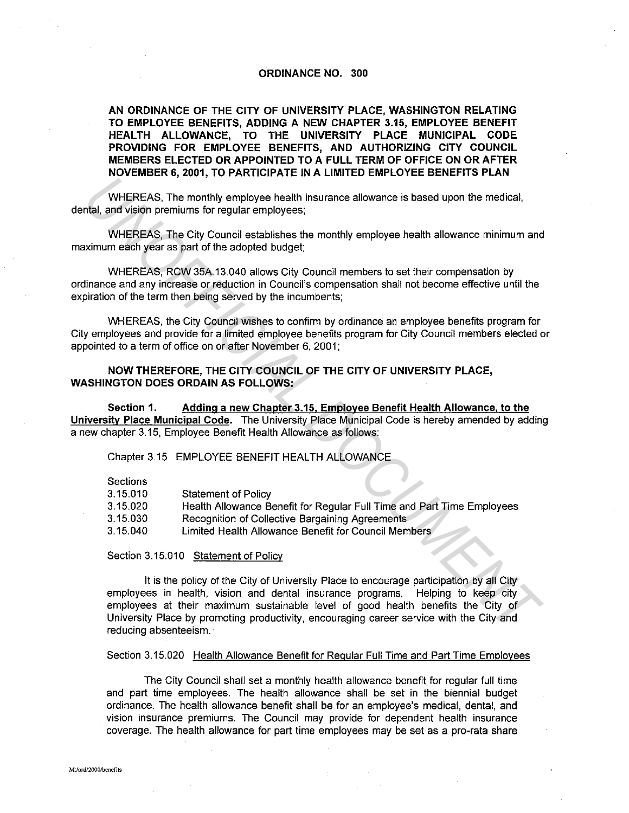## **ORDINANCE NO. 300**

**AN ORDINANCE OF THE CITY OF UNIVERSITY PLACE, WASHINGTON RELATING TO EMPLOYEE BENEFITS, ADDING A NEW CHAPTER 3.15, EMPLOYEE BENEFIT HEAL TH ALLOWANCE, TO THE UNIVERSITY PLACE MUNICIPAL CODE PROVIDING FOR EMPLOYEE BENEFITS, AND AUTHORIZING CITY COUNCIL MEMBERS ELECTED OR APPOINTED TO A FULL TERM OF OFFICE ON OR AFTER NOVEMBER 6, 2001, TO PARTICIPATE IN A LIMITED EMPLOYEE BENEFITS PLAN** 

WHEREAS, The monthly employee health insurance allowance is based upon the medical, dental, and vision premiums for regular employees;

WHEREAS, The City Council establishes the monthly employee health allowance minimum and maximum each year as part of the adopted budget;

WHEREAS, RCW 35A.13.040 allows City Council members to set their compensation by ordinance and any increase or reduction in Council's compensation shall not become effective until the expiration of the term then being served by the incumbents;

WHEREAS, the City Council wishes to confirm by ordinance an employee benefits program for City employees and provide for a limited employee benefits program for City Council members elected or appointed to a term of office on or after November 6, 2001;

## **NOW THEREFORE, THE CITY COUNCIL OF THE CITY OF UNIVERSITY PLACE, WASHINGTON DOES ORDAIN AS FOLLOWS:**

**Section 1. Adding a new Chapter 3.15, Employee Benefit Health Allowance, to the University Place Municipal Code.** The University Place Municipal Code is hereby amended by adding a new chapter 3. 15, Employee Benefit Health Allowance as follows:

Chapter 3.15 EMPLOYEE BENEFIT HEALTH ALLOWANCE

**Sections** 

| 3.15.010 | <b>Statement of Policy</b>                                             |
|----------|------------------------------------------------------------------------|
| 3.15.020 | Health Allowance Benefit for Regular Full Time and Part Time Employees |
| 3.15.030 | Recognition of Collective Bargaining Agreements                        |
| 3.15.040 | Limited Health Allowance Benefit for Council Members                   |

Section 3.15.010 Statement of Policy

It is the policy of the City of University Place to encourage participation by all City employees in health, vision and dental insurance programs. Helping to keep city employees at their maximum sustainable level of good health benefits the City of University Place by promoting productivity, encouraging career service with the City and reducing absenteeism. WHEREAS. The monthly employee health insurance allowance is based upon the medical,<br>that, and vision premiums for regular employees;<br>WHEREAS. The City Council establishes the monthly employee health allowance minimum and<br>i

Section 3.15.020 Health Allowance Benefit for Regular Full Time and Part Time Employees

The City Council shall set a monthly health allowance benefit for regular full time and part time employees. The health allowance shall be set in the biennial budget ordinance. The health allowance benefit shall be for an employee's medical, dental, and vision insurance premiums. The Council may provide for dependent health insurance coverage. The health allowance for part time employees may be set as a pro-rata share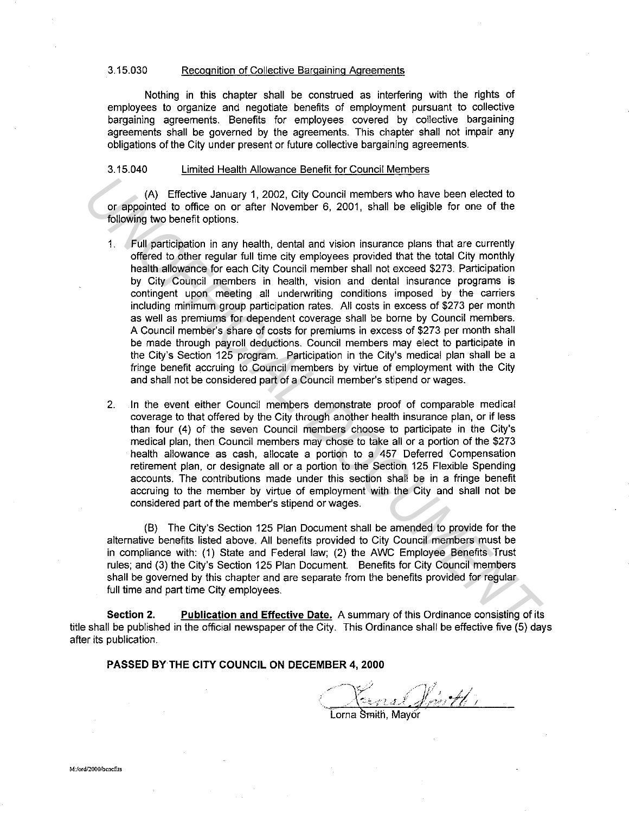## 3.15.030 Recognition of Collective Bargaining Agreements

Nothing in this chapter shall be construed as interfering with the rights of employees to organize and negotiate benefits of employment pursuant to collective bargaining agreements. Benefits for employees covered by collective bargaining agreements shall be governed by the agreements. This chapter shall not impair any obligations of the City under present or future collective bargaining agreements.

## 3.15.040 Limited Health Allowance Benefit for Council Members

(A) Effective January 1, 2002, City Council members who have been elected to or appointed to office on or after November 6, 2001, shall be eligible for one of the following two benefit options.

- 1. Full participation in any health, dental and vision insurance plans that are currently offered to other regular full time city employees provided that the total City monthly health allowance for each City Council member shall not exceed \$273. Participation by City Council members in health, vision and dental insurance programs is contingent upon meeting all underwriting conditions imposed by the carriers including minimum group participation rates. All costs in excess of \$273 per month as well as premiums for dependent coverage shall be borne by Council members. A Council member's share of costs for premiums in excess of \$273 per month shall be made through payroll deductions. Council members may elect to participate in the City's Section 125 program. Participation in the City's medical plan shall be a fringe benefit accruing to Council members by virtue of employment with the City and shall not be considered part of a Council member's stipend or wages. (A) Effective January 1, 2002, City Council members who have been elected to colopining to office on or after November 6, 2001, shall be eligible for one of the following two benefit options.<br>
1. Full participation in any
	- 2. In the event either Council members demonstrate proof of comparable medical coverage to that offered by the City through another health insurance plan, or if less than four (4) of the seven Council members choose to participate in the City's medical plan, then Council members may chose to take all or a portion of the \$273 health allowance as cash, allocate a portion to a 457 Deferred Compensation retirement plan, or designate all or a portion to the Section 125 Flexible Spending accounts. The contributions made under this section shall be in a fringe benefit accruing to the member by virtue of employment with the City and shall not be considered part of the member's stipend or wages.

(B) The City's Section 125 Plan Document shall be amended to provide for the alternative benefits listed above. All benefits provided to City Council members must be in compliance with: (1) State and Federal law; (2) the AWC Employee Benefits Trust rules; and (3) the City's Section 125 Plan Document. Benefits for City Council members shall be governed by this chapter and are separate from the benefits provided for regular full time and part time City employees.

**Section 2. Publication and Effective Date.** A summary of this Ordinance consisting of its title shall be published in the official newspaper of the City. This Ordinance shall be effective five (5) days after its publication.

**PASSED BYTHE CITY COUNCIL ON DECEMBER 4, 2000** 

' •. .1. <sup>J</sup>*Ni* <sup>I</sup>

orna Smith, Mavor